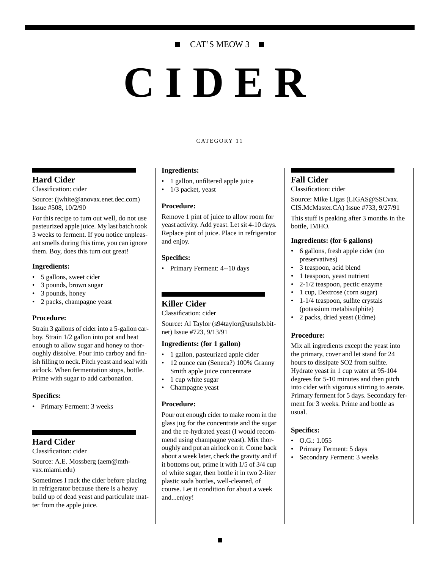# CAT'S MEOW 3

# **CIDER**

#### CATEGORY 11

## **Hard Cider**

Classification: cider

Source: (jwhite@anovax.enet.dec.com) Issue #508, 10/2/90

For this recipe to turn out well, do not use pasteurized apple juice. My last batch took 3 weeks to ferment. If you notice unpleasant smells during this time, you can ignore them. Boy, does this turn out great!

#### **Ingredients:**

- 5 gallons, sweet cider
- 3 pounds, brown sugar
- 3 pounds, honey
- 2 packs, champagne yeast

## **Procedure:**

Strain 3 gallons of cider into a 5-gallon carboy. Strain 1/2 gallon into pot and heat enough to allow sugar and honey to thoroughly dissolve. Pour into carboy and finish filling to neck. Pitch yeast and seal with airlock. When fermentation stops, bottle. Prime with sugar to add carbonation.

#### **Specifics:**

• Primary Ferment: 3 weeks

# **Hard Cider**

Classification: cider

Source: A.E. Mossberg (aem@mthvax.miami.edu)

Sometimes I rack the cider before placing in refrigerator because there is a heavy build up of dead yeast and particulate matter from the apple juice.

#### **Ingredients:**

- 1 gallon, unfiltered apple juice
- 1/3 packet, yeast

#### **Procedure:**

Remove 1 pint of juice to allow room for yeast activity. Add yeast. Let sit 4-10 days. Replace pint of juice. Place in refrigerator and enjoy.

#### **Specifics:**

• Primary Ferment: 4--10 days

# **Killer Cider**

## Classification: cider

Source: Al Taylor (s94taylor@usuhsb.bitnet) Issue #723, 9/13/91

#### **Ingredients: (for 1 gallon)**

- 1 gallon, pasteurized apple cider
- 12 ounce can (Seneca?) 100% Granny Smith apple juice concentrate
- 1 cup white sugar
- Champagne yeast

#### **Procedure:**

Pour out enough cider to make room in the glass jug for the concentrate and the sugar and the re-hydrated yeast (I would recommend using champagne yeast). Mix thoroughly and put an airlock on it. Come back about a week later, check the gravity and if it bottoms out, prime it with 1/5 of 3/4 cup of white sugar, then bottle it in two 2-liter plastic soda bottles, well-cleaned, of course. Let it condition for about a week and...enjoy!

#### **Fall Cider**

Classification: cider

Source: Mike Ligas (LIGAS@SSCvax. CIS.McMaster.CA) Issue #733, 9/27/91

This stuff is peaking after 3 months in the bottle, IMHO.

#### **Ingredients: (for 6 gallons)**

- 6 gallons, fresh apple cider (no preservatives)
- 3 teaspoon, acid blend
- 1 teaspoon, yeast nutrient
- 2-1/2 teaspoon, pectic enzyme
- 1 cup, Dextrose (corn sugar)
- 1-1/4 teaspoon, sulfite crystals (potassium metabisulphite)
- 2 packs, dried yeast (Edme)

#### **Procedure:**

Mix all ingredients except the yeast into the primary, cover and let stand for 24 hours to dissipate SO2 from sulfite. Hydrate yeast in 1 cup water at 95-104 degrees for 5-10 minutes and then pitch into cider with vigorous stirring to aerate. Primary ferment for 5 days. Secondary ferment for 3 weeks. Prime and bottle as usual.

#### **Specifics:**

- $\bullet$  O.G.: 1.055
- Primary Ferment: 5 days
- Secondary Ferment: 3 weeks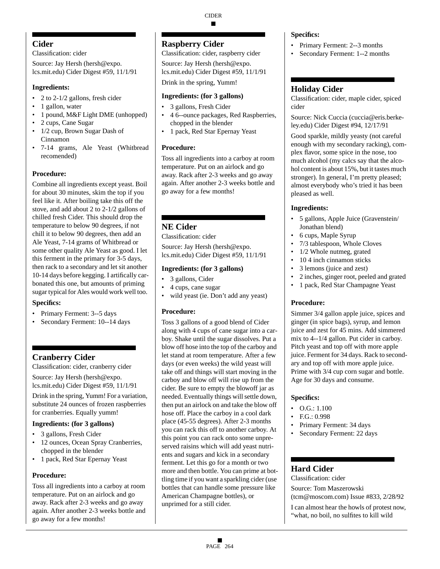# **Cider**

## Classification: cider

Source: Jay Hersh (hersh@expo. lcs.mit.edu) Cider Digest #59, 11/1/91

# **Ingredients:**

- 2 to 2-1/2 gallons, fresh cider
- 1 gallon, water
- 1 pound, M&F Light DME (unhopped)
- 2 cups, Cane Sugar
- 1/2 cup, Brown Sugar Dash of Cinnamon
- 7-14 grams, Ale Yeast (Whitbread recomended)

# **Procedure:**

Combine all ingredients except yeast. Boil for about 30 minutes, skim the top if you feel like it. After boiling take this off the stove, and add about 2 to 2-1/2 gallons of chilled fresh Cider. This should drop the temperature to below 90 degrees, if not chill it to below 90 degrees, then add an Ale Yeast, 7-14 grams of Whitbread or some other quality Ale Yeast as good. I let this ferment in the primary for 3-5 days, then rack to a secondary and let sit another 10-14 days before kegging. I artifically carbonated this one, but amounts of priming sugar typical for Ales would work well too.

# **Specifics:**

- Primary Ferment: 3--5 days
- Secondary Ferment: 10--14 days

# **Cranberry Cider**

Classification: cider, cranberry cider

Source: Jay Hersh (hersh@expo. lcs.mit.edu) Cider Digest #59, 11/1/91

Drink in the spring, Yumm! For a variation, substitute 24 ounces of frozen raspberries for cranberries. Equally yumm!

# **Ingredients: (for 3 gallons)**

- 3 gallons, Fresh Cider
- 12 ounces, Ocean Spray Cranberries, chopped in the blender
- 1 pack, Red Star Epernay Yeast

# **Procedure:**

Toss all ingredients into a carboy at room temperature. Put on an airlock and go away. Rack after 2-3 weeks and go away again. After another 2-3 weeks bottle and go away for a few months!

# **Raspberry Cider**

Classification: cider, raspberry cider

Source: Jay Hersh (hersh@expo. lcs.mit.edu) Cider Digest #59, 11/1/91

Drink in the spring, Yumm!

# **Ingredients: (for 3 gallons)**

- 3 gallons, Fresh Cider
- 4 6--ounce packages, Red Raspberries, chopped in the blender
- 1 pack, Red Star Epernay Yeast

# **Procedure:**

Toss all ingredients into a carboy at room temperature. Put on an airlock and go away. Rack after 2-3 weeks and go away again. After another 2-3 weeks bottle and go away for a few months!

# **NE Cider**

Classification: cider

Source: Jay Hersh (hersh@expo. lcs.mit.edu) Cider Digest #59, 11/1/91

## **Ingredients: (for 3 gallons)**

- 3 gallons, Cider
- 4 cups, cane sugar
- wild yeast (ie. Don't add any yeast)

# **Procedure:**

Toss 3 gallons of a good blend of Cider along with 4 cups of cane sugar into a carboy. Shake until the sugar dissolves. Put a blow off hose into the top of the carboy and let stand at room temperature. After a few days (or even weeks) the wild yeast will take off and things will start moving in the carboy and blow off will rise up from the cider. Be sure to empty the blowoff jar as needed. Eventually things will settle down, then put an airlock on and take the blow off hose off. Place the carboy in a cool dark place (45-55 degrees). After 2-3 months you can rack this off to another carboy. At this point you can rack onto some unpreserved raisins which will add yeast nutrients and sugars and kick in a secondary ferment. Let this go for a month or two more and then bottle. You can prime at bottling time if you want a sparkling cider (use bottles that can handle some pressure like American Champagne bottles), or unprimed for a still cider.

## **Specifics:**

- Primary Ferment: 2--3 months
- Secondary Ferment: 1--2 months

# **Holiday Cider**

Classification: cider, maple cider, spiced cider

Source: Nick Cuccia (cuccia@eris.berkeley.edu) Cider Digest #94, 12/17/91

Good sparkle, mildly yeasty (not careful enough with my secondary racking), complex flavor, some spice in the nose, too much alcohol (my calcs say that the alcohol content is about 15%, but it tastes much stronger). In general, I'm pretty pleased; almost everybody who's tried it has been pleased as well.

# **Ingredients:**

- 5 gallons, Apple Juice (Gravenstein/ Jonathan blend)
- 6 cups, Maple Syrup
- 7/3 tablespoon, Whole Cloves
- 1/2 Whole nutmeg, grated
- 10 4 inch cinnamon sticks
- 3 lemons (juice and zest)
- 2 inches, ginger root, peeled and grated
- 1 pack, Red Star Champagne Yeast

# **Procedure:**

Simmer 3/4 gallon apple juice, spices and ginger (in spice bags), syrup, and lemon juice and zest for 45 mins. Add simmered mix to 4--1/4 gallon. Put cider in carboy. Pitch yeast and top off with more apple juice. Ferment for 34 days. Rack to secondary and top off with more apple juice. Prime with 3/4 cup corn sugar and bottle. Age for 30 days and consume.

# **Specifics:**

- $\bullet$  O.G.: 1.100
- F.G.: 0.998
- Primary Ferment: 34 days
- Secondary Ferment: 22 days

# **Hard Cider**

Classification: cider

Source: Tom Maszerowski (tcm@moscom.com) Issue #833, 2/28/92

I can almost hear the howls of protest now, "what, no boil, no sulfites to kill wild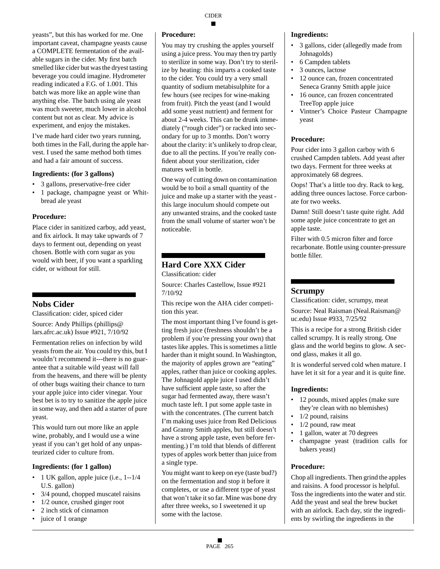yeasts", but this has worked for me. One important caveat, champagne yeasts cause a COMPLETE fermentation of the available sugars in the cider. My first batch smelled like cider but was the dryest tasting beverage you could imagine. Hydrometer reading indicated a F.G. of 1.001. This batch was more like an apple wine than anything else. The batch using ale yeast was much sweeter, much lower in alcohol content but not as clear. My advice is experiment, and enjoy the mistakes.

I've made hard cider two years running, both times in the Fall, during the apple harvest. I used the same method both times and had a fair amount of success.

#### **Ingredients: (for 3 gallons)**

- 3 gallons, preservative-free cider
- 1 package, champagne yeast or Whitbread ale yeast

#### **Procedure:**

Place cider in sanitized carboy, add yeast, and fix airlock. It may take upwards of 7 days to ferment out, depending on yeast chosen. Bottle with corn sugar as you would with beer, if you want a sparkling cider, or without for still.

# **Nobs Cider**

Classification: cider, spiced cider

Source: Andy Phillips (phillips@ lars.afrc.ac.uk) Issue #921, 7/10/92

Fermentation relies on infection by wild yeasts from the air. You could try this, but I wouldn't recommend it---there is no guarantee that a suitable wild yeast will fall from the heavens, and there will be plenty of other bugs waiting their chance to turn your apple juice into cider vinegar. Your best bet is to try to sanitize the apple juice in some way, and then add a starter of pure yeast.

This would turn out more like an apple wine, probably, and I would use a wine yeast if you can't get hold of any unpasteurized cider to culture from.

## **Ingredients: (for 1 gallon)**

- 1 UK gallon, apple juice (i.e., 1--1/4 U.S. gallon)
- 3/4 pound, chopped muscatel raisins
- 1/2 ounce, crushed ginger root
- 2 inch stick of cinnamon
- juice of 1 orange

#### **Procedure:**

You may try crushing the apples yourself using a juice press. You may then try partly to sterilize in some way. Don't try to sterilize by heating: this imparts a cooked taste to the cider. You could try a very small quantity of sodium metabisulphite for a few hours (see recipes for wine-making from fruit). Pitch the yeast (and I would add some yeast nutrient) and ferment for about 2-4 weeks. This can be drunk immediately ("rough cider") or racked into secondary for up to 3 months. Don't worry about the clarity: it's unlikely to drop clear, due to all the pectins. If you're really confident about your sterilization, cider matures well in bottle.

One way of cutting down on contamination would be to boil a small quantity of the juice and make up a starter with the yeast this large inoculum should compete out any unwanted strains, and the cooked taste from the small volume of starter won't be noticeable.

# **Hard Core XXX Cider**

Classification: cider

Source: Charles Castellow, Issue #921 7/10/92

This recipe won the AHA cider competition this year.

The most important thing I've found is getting fresh juice (freshness shouldn't be a problem if you're pressing your own) that tastes like apples. This is sometimes a little harder than it might sound. In Washington, the majority of apples grown are "eating" apples, rather than juice or cooking apples. The Johnagold apple juice I used didn't have sufficient apple taste, so after the sugar had fermented away, there wasn't much taste left. I put some apple taste in with the concentrates. (The current batch I'm making uses juice from Red Delicious and Granny Smith apples, but still doesn't have a strong apple taste, even before fermenting.) I'm told that blends of different types of apples work better than juice from a single type.

You might want to keep on eye (taste bud?) on the fermentation and stop it before it completes, or use a different type of yeast that won't take it so far. Mine was bone dry after three weeks, so I sweetened it up some with the lactose.

#### **Ingredients:**

- 3 gallons, cider (allegedly made from Johnagolds)
- 6 Campden tablets
- 3 ounces, lactose
- 12 ounce can, frozen concentrated Seneca Granny Smith apple juice
- 16 ounce, can frozen concentrated TreeTop apple juice
- Vintner's Choice Pasteur Champagne yeast

#### **Procedure:**

Pour cider into 3 gallon carboy with 6 crushed Campden tablets. Add yeast after two days. Ferment for three weeks at approximately 68 degrees.

Oops! That's a little too dry. Rack to keg, adding three ounces lactose. Force carbonate for two weeks.

Damn! Still doesn't taste quite right. Add some apple juice concentrate to get an apple taste.

Filter with 0.5 micron filter and force recarbonate. Bottle using counter-pressure bottle filler.

## **Scrumpy**

Classification: cider, scrumpy, meat Source: Neal Raisman (Neal.Raisman@ uc.edu) Issue #933, 7/25/92

This is a recipe for a strong British cider called scrumpy. It is really strong. One glass and the world begins to glow. A second glass, makes it all go.

It is wonderful served cold when mature. I have let it sit for a year and it is quite fine.

#### **Ingredients:**

- 12 pounds, mixed apples (make sure they're clean with no blemishes)
- $1/2$  pound, raisins
- $1/2$  pound, raw meat
- 1 gallon, water at 70 degrees
- champagne yeast (tradition calls for bakers yeast)

#### **Procedure:**

Chop all ingredients. Then grind the apples and raisins. A food processor is helpful. Toss the ingredients into the water and stir. Add the yeast and seal the brew bucket with an airlock. Each day, stir the ingredients by swirling the ingredients in the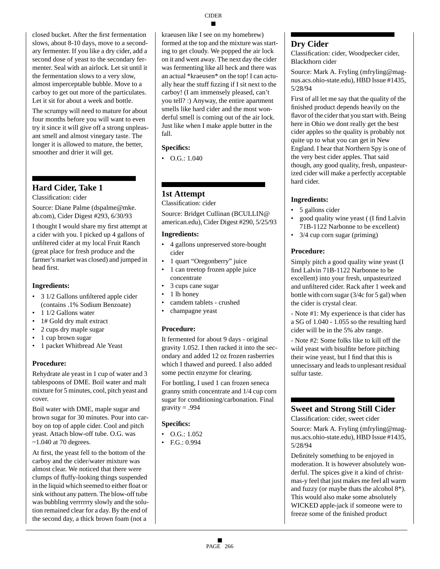# **CIDER**

closed bucket. After the first fermentation

slows, about 8-10 days, move to a secondary fermenter. If you like a dry cider, add a second dose of yeast to the secondary fermenter. Seal with an airlock. Let sit until it the fermentation slows to a very slow, almost imperceptable bubble. Move to a carboy to get out more of the particulates. Let it sit for about a week and bottle.

The scrumpy will need to mature for about four months before you will want to even try it since it will give off a strong unpleasant smell and almost vinegary taste. The longer it is allowed to mature, the better, smoother and drier it will get.

# **Hard Cider, Take 1**

Classification: cider

Source: Diane Palme (dspalme@mke. ab.com), Cider Digest #293, 6/30/93

I thought I would share my first attempt at a cider with you. I picked up 4 gallons of unfiltered cider at my local Fruit Ranch (great place for fresh produce and the farmer's market was closed) and jumped in head first.

# **Ingredients:**

- 3 1/2 Gallons unfiltered apple cider (contains .1% Sodium Benzoate)
- 1 1/2 Gallons water
- 1# Gold dry malt extract
- 2 cups dry maple sugar
- 1 cup brown sugar
- 1 packet Whitbread Ale Yeast

# **Procedure:**

Rehydrate ale yeast in 1 cup of water and 3 tablespoons of DME. Boil water and malt mixture for 5 minutes, cool, pitch yeast and cover.

Boil water with DME, maple sugar and brown sugar for 30 minutes. Pour into carboy on top of apple cider. Cool and pitch yeast. Attach blow-off tube. O.G. was  $\sim$ 1.040 at 70 degrees.

At first, the yeast fell to the bottom of the carboy and the cider/water mixture was almost clear. We noticed that there were clumps of fluffy-looking things suspended in the liquid which seemed to either float or sink without any pattern. The blow-off tube was bubbling verrrrrry slowly and the solution remained clear for a day. By the end of the second day, a thick brown foam (not a

kraeusen like I see on my homebrew) formed at the top and the mixture was starting to get cloudy. We popped the air lock on it and went away. The next day the cider was fermenting like all heck and there was an actual \*kraeusen\* on the top! I can actually hear the stuff fizzing if I sit next to the carboy! (I am immensely pleased, can't you tell? :) Anyway, the entire apartment smells like hard cider and the most wonderful smell is coming out of the air lock. Just like when I make apple butter in the fall.

# **Specifics:**

• O.G.: 1.040

# **1st Attempt**

Classification: cider

Source: Bridget Cullinan (BCULLIN@ american.edu), Cider Digest #290, 5/25/93

## **Ingredients:**

- 4 gallons unpreserved store-bought cider
- 1 quart "Oregonberry" juice
- 1 can treetop frozen apple juice concentrate
- 3 cups cane sugar
- 1 lb honey
- camdem tablets crushed
- champagne yeast

# **Procedure:**

It fermented for about 9 days - original gravity 1.052. I then racked it into the secondary and added 12 oz frozen rasberries which I thawed and pureed. I also added some pectin enzyme for clearing.

For bottling, I used 1 can frozen seneca granny smith concentrate and 1/4 cup corn sugar for conditioning/carbonation. Final gravity  $= .994$ 

# **Specifics:**

- O.G.: 1.052
- F.G.: 0.994

# **Dry Cider**

Classification: cider, Woodpecker cider, Blackthorn cider

Source: Mark A. Fryling (mfryling@magnus.acs.ohio-state.edu), HBD Issue #1435, 5/28/94

First of all let me say that the quality of the finished product depends heavily on the flavor of the cider that you start with. Being here in Ohio we dont really get the best cider apples so the quality is probably not quite up to what you can get in New England. I hear that Northern Spy is one of the very best cider apples. That said though, any good quality, fresh, unpasteurized cider will make a perfectly acceptable hard cider.

# **Ingredients:**

- 5 gallons cider
- good quality wine yeast ( (I find Lalvin 71B-1122 Narbonne to be excellent)
- 3/4 cup corn sugar (priming)

# **Procedure:**

Simply pitch a good quality wine yeast (I find Lalvin 71B-1122 Narbonne to be excellent) into your fresh, unpasteurized and unfiltered cider. Rack after 1 week and bottle with corn sugar (3/4c for 5 gal) when the cider is crystal clear.

- Note #1: My experience is that cider has a SG of 1.040 - 1.055 so the resulting hard cider will be in the 5% abv range.

- Note #2: Some folks like to kill off the wild yeast with bisulfite before pitching their wine yeast, but I find that this is unnecissary and leads to unplesant residual sulfur taste.

# **Sweet and Strong Still Cider**

Classification: cider, sweet cider

Source: Mark A. Fryling (mfryling@magnus.acs.ohio-state.edu), HBD Issue #1435, 5/28/94

Definitely something to be enjoyed in moderation. It is however absolutely wonderful. The spices give it a kind of christmas-y feel that just makes me feel all warm and fuzzy (or maybe thats the alcohol 8\*). This would also make some absolutely WICKED apple-jack if someone were to freeze some of the finished product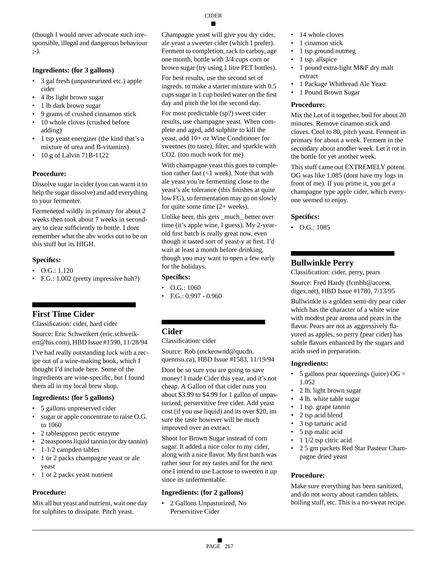(though I would never advocate such irresponsible, illegal and dangerous behaviour ;-).

## **Ingredients: (for 3 gallons)**

- 3 gal fresh (unpasteurized etc.) apple cider
- 4 lbs light brown sugar
- 1 lb dark brown sugar
- 9 grams of crushed cinnamon stick
- 10 whole cloves (crushed before adding)
- 1 tsp yeast energizer (the kind that's a mixture of urea and B-vitamins)
- 10 g of Lalvin 71B-1122

# **Procedure:**

Dissolve sugar in cider (you can warm it to help the sugar dissolve) and add everything to your fermenter.

Fermeneted wildly in primary for about 2 weeks then took about 7 weeks in secondary to clear sufficiently to bottle. I dont remember what the abv works out to be on this stuff but its HIGH.

## **Specifics:**

- O.G.: 1.120
- F.G.: 1.002 (pretty impressive huh?)

# **First Time Cider**

Classification: cider, hard cider

Source: Eric Schweikert (eric.schweikert@his.com), HBD Issue #1590, 11/28/94

I've had really outstanding luck with a recipe out of a wine-making book, which I thought I'd include here. Some of the ingredients are wine-specific, but I found them all in my local brew shop.

## **Ingredients: (for 5 gallons)**

- 5 gallons unpreserved cider
- sugar or apple concentrate to raise O.G. to 1060
- 2 tablespposn pectic enzyme
- 2 teaspoons liquid tannin (or dry tannin)
- 1-1/2 campden tables
- 1 or 2 packs champagne yeast or ale yeast
- 1 or 2 packs yeast nutrient

# **Procedure:**

Mix all but yeast and nutrient, wait one day for sulphites to dissipate. Pitch yeast.

Champagne yeast will give you dry cider, ale yeast a sweeter cider (which I prefer). Ferment to completion, rack to carboy, age one month, bottle with 3/4 cups corn or brown sugar (try using 1 litre PET bottles).

For best results, use the second set of ingreds. to make a starter mixture with 0.5 cups sugar in 1 cup boiled water on the first day and pitch the lot the second day.

For most predictable (sp?) sweet cider results, use champagne yeast. When complete and aged, add sulphite to kill the yeast, add 10+ oz Wine Conditioner for sweetnes (to taste), filter, and sparkle with CO2. (too much work for me)

With champagne yeast this goes to completion rather fast (<1 week). Note that with ale yeast you're fermenting close to the yeast's alc tolerance (this finishes at quite low FG), so fermentation may go on slowly for quite some time (2+ weeks).

Unlike beer, this gets \_much\_ better over time (it's apple wine, I guess). My 2-yearold first batch is really great now, even though it tasted sort of yeast-y at first. I'd wait at least a month before drinking, though you may want to open a few early for the holidays.

## **Specifics:**

- O.G.: 1060
- F.G.: 0.997 0.960

# **Cider**

Classification: cider

Source: Rob (mckeownd@qucdn. quennsu.ca), HBD Issue #1583, 11/19/94

Dont be so sure you are going to save money! I made Cider this year, and it's not cheap. A Gallon of that cider runs you about \$3.99 to \$4.99 for 1 gallon of unpasturized, perservitive free cider. Add yeast cost (if you use liquid) and its over \$20, im sure the taste however will be much improved over an extract.

Shoot for Brown Sugar instead of corn sugar. It added a nice color to my cider, along with a nice flavor. My first batch was rather sour for my tastes and for the next one I intend to use Lactose to sweeten it up since its unfermentable.

# **Ingredients: (for 2 gallons)**

• 2 Gallons Unpasturized, No Perservitive Cider

- 14 whole cloves
- 1 cinamon stick
- 1 tsp ground nutmeg
- 1 tsp. allspice
- 1 pound extra-light M&F dry malt extract
- 1 Package Whitbread Ale Yeast
- 1 Pound Brown Sugar

## **Procedure:**

Mix the Lot of it together, boil for about 20 minutes. Remove cinamon stick and cloves. Cool to 80, pitch yeast. Ferment in primary for about a week. Ferment in the secondary about another week. Let it rot in the bottle for yet another week.

This stuff came out EXTREMELY potent. OG was like 1.085 (dont have my logs in front of me). If you prime it, you get a champagne type apple cider, which everyone seemed to enjoy.

## **Specifics:**

• O.G.: 1085

# **Bullwinkle Perry**

Classification: cider, perry, pears

Source: Fred Hardy (fcmbh@access. digex.net), HBD Issue #1780, 7/13/95

Bullwinkle is a golden semi-dry pear cider which has the character of a white wine with modest pear aroma and pears in the flavor. Pears are not as aggressively flavored as apples, so perry (pear cider) has subtle flavors enhanced by the sugars and acids used in preparation.

# **Ingredients:**

- 5 gallons pear squeezings (juice)  $OG =$ 1.052
- 2 lb. light brown sugar
- 4 lb. white table sugar
- 1 tsp. grape tannin
- 2 tsp acid blend
- 3 tsp tartaric acid
- 5 tsp malic acid
- 1 1/2 tsp citric acid
- 2 5 gm packets Red Star Pasteur Champagne dried yeast

# **Procedure:**

Make sure everything has been sanitized, and do not worry about camden tablets, boiling stuff, etc. This is a no-sweat recipe.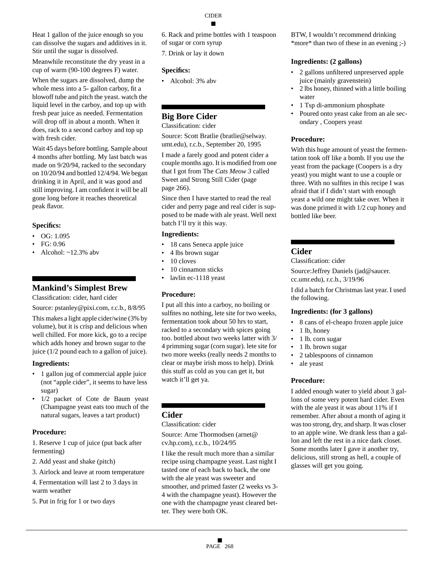CIDER

Heat 1 gallon of the juice enough so you can dissolve the sugars and additives in it. Stir until the sugar is dissolved.

Meanwhile reconstitute the dry yeast in a cup of warm (90-100 degrees F) water.

When the sugars are dissolved, dump the whole mess into a 5- gallon carboy, fit a blowoff tube and pitch the yeast. watch the liquid level in the carboy, and top up with fresh pear juice as needed. Fermentation will drop off in about a month. When it does, rack to a second carboy and top up with fresh cider.

Wait 45 days before bottling. Sample about 4 months after bottling. My last batch was made on 9/20/94, racked to the secondary on 10/20/94 and bottled 12/4/94. We began drinking it in April, and it was good and still improving. I am confident it will be all gone long before it reaches theoretical peak flavor.

## **Specifics:**

 $\bullet$  OG: 1.095

- FG: 0.96
- Alcohol:  $\sim$ 12.3% abv

# **Mankind's Simplest Brew**

Classification: cider, hard cider

Source: pstanley@pixi.com, r.c.b., 8/8/95

This makes a light apple cider/wine (3% by volume), but it is crisp and delicious when well chilled. For more kick, go to a recipe which adds honey and brown sugar to the juice (1/2 pound each to a gallon of juice).

## **Ingredients:**

- 1 gallon jug of commercial apple juice (not "apple cider", it seems to have less sugar)
- 1/2 packet of Cote de Baum yeast (Champagne yeast eats too much of the natural sugars, leaves a tart product)

# **Procedure:**

1. Reserve 1 cup of juice (put back after fermenting)

- 2. Add yeast and shake (pitch)
- 3. Airlock and leave at room temperature
- 4. Fermentation will last 2 to 3 days in warm weather
- 5. Put in frig for 1 or two days
- 6. Rack and prime bottles with 1 teaspoon of sugar or corn syrup
- 7. Drink or lay it down

## **Specifics:**

• Alcohol: 3% abv

# **Big Bore Cider**

Classification: cider

Source: Scott Bratlie (bratlie@selway. umt.edu), r.c.b., September 20, 1995

I made a farely good and potent cider a couple months ago. It is modified from one that I got from The *Cats Meow 3* called Sweet and Strong Still Cider (page page 266).

Since then I have started to read the real cider and perry page and real cider is supposed to be made with ale yeast. Well next batch I'll try it this way.

#### **Ingredients:**

- 18 cans Seneca apple juice
- 4 lbs brown sugar
- 10 cloves
- 10 cinnamon sticks
- lavlin ec-1118 yeast

# **Procedure:**

I put all this into a carboy, no boiling or sulfites no nothing, lete site for two weeks, fermentation took about 50 hrs to start, racked to a secondary with spices going too. bottled about two weeks latter with 3/ 4 primming sugar (corn sugar). lete site for two more weeks (really needs 2 months to clear or maybe irish moss to help). Drink this stuff as cold as you can get it, but watch it'll get ya.

# **Cider**

#### Classification: cider

Source: Arne Thormodsen (arnet@ cv.hp.com), r.c.b., 10/24/95

I like the result much more than a similar recipe using champagne yeast. Last night I tasted one of each back to back, the one with the ale yeast was sweeter and smoother, and primed faster (2 weeks vs 3- 4 with the champagne yeast). However the one with the champagne yeast cleared better. They were both OK.

BTW, I wouldn't recommend drinking \*more\* than two of these in an evening ;-)

## **Ingredients: (2 gallons)**

- 2 gallons unfiltered unpreserved apple juice (mainly gravenstein)
- 2 lbs honey, thinned with a little boiling water
- 1 Tsp di-ammonium phosphate
- Poured onto yeast cake from an ale secondary , Coopers yeast

## **Procedure:**

With this huge amount of yeast the fermentation took off like a bomb. If you use the yeast from the package (Coopers is a dry yeast) you might want to use a couple or three. With no sulfites in this recipe I was afraid that if I didn't start with enough yeast a wild one might take over. When it was done primed it with 1/2 cup honey and bottled like beer.

## **Cider**

Classification: cider

Source:Jeffrey Daniels (jad@saucer. cc.umr.edu), r.c.b., 3/19/96

I did a batch for Christmas last year. I used the following.

## **Ingredients: (for 3 gallons)**

- 8 cans of el-cheapo frozen apple juice
- 1 lb, honey
- 1 lb. corn sugar
- 1 lb. brown sugar
- 2 tablespoons of cinnamon
- ale yeast

## **Procedure:**

I added enough water to yield about 3 gallons of some very potent hard cider. Even with the ale yeast it was about 11% if I remember. After about a month of aging it was too strong, dry, and sharp. It was closer to an apple wine. We drank less than a gallon and left the rest in a nice dark closet. Some months later I gave it another try, delicious, still strong as hell, a couple of glasses will get you going.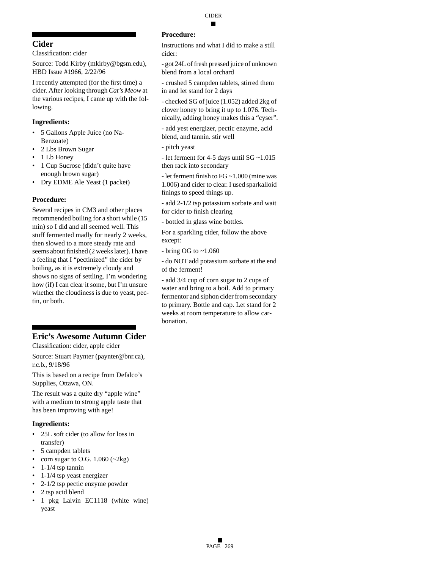# **Cider**

Classification: cider

Source: Todd Kirby (mkirby@bgsm.edu), HBD Issue #1966, 2/22/96

I recently attempted (for the first time) a cider. After looking through *Cat's Meow* at the various recipes, I came up with the following.

## **Ingredients:**

- 5 Gallons Apple Juice (no Na-Benzoate)
- 2 Lbs Brown Sugar
- 1 Lb Honey
- 1 Cup Sucrose (didn't quite have enough brown sugar)
- Dry EDME Ale Yeast (1 packet)

# **Procedure:**

Several recipes in CM3 and other places recommended boiling for a short while (15 min) so I did and all seemed well. This stuff fermented madly for nearly 2 weeks, then slowed to a more steady rate and seems about finished (2 weeks later). I have a feeling that I "pectinized" the cider by boiling, as it is extremely cloudy and shows no signs of settling. I'm wondering how (if) I can clear it some, but I'm unsure whether the cloudiness is due to yeast, pectin, or both.

# **Eric's Awesome Autumn Cider**

Classification: cider, apple cider

Source: Stuart Paynter (paynter@bnr.ca), r.c.b., 9/18/96

This is based on a recipe from Defalco's Supplies, Ottawa, ON.

The result was a quite dry "apple wine" with a medium to strong apple taste that has been improving with age!

# **Ingredients:**

- 25L soft cider (to allow for loss in transfer)
- 5 campden tablets
- corn sugar to O.G.  $1.060$  ( $\sim$ 2kg)
- $\cdot$  1-1/4 tsp tannin
- 1-1/4 tsp yeast energizer
- 2-1/2 tsp pectic enzyme powder
- 2 tsp acid blend
- 1 pkg Lalvin EC1118 (white wine) yeast

# **Procedure:**

Instructions and what I did to make a still cider:

- got 24L of fresh pressed juice of unknown blend from a local orchard

- crushed 5 campden tablets, stirred them in and let stand for 2 days

- checked SG of juice (1.052) added 2kg of clover honey to bring it up to 1.076. Technically, adding honey makes this a "cyser".

- add yest energizer, pectic enzyme, acid blend, and tannin. stir well

- let ferment for 4-5 days until SG ~1.015 then rack into secondary

- let ferment finish to FG ~1.000 (mine was 1.006) and cider to clear. I used sparkalloid finings to speed things up.

- add 2-1/2 tsp potassium sorbate and wait for cider to finish clearing

- bottled in glass wine bottles.

For a sparkling cider, follow the above except:

- bring OG to ~1.060

- do NOT add potassium sorbate at the end of the ferment!

- add 3/4 cup of corn sugar to 2 cups of water and bring to a boil. Add to primary fermentor and siphon cider from secondary to primary. Bottle and cap. Let stand for 2 weeks at room temperature to allow carbonation.

<sup>-</sup> pitch yeast